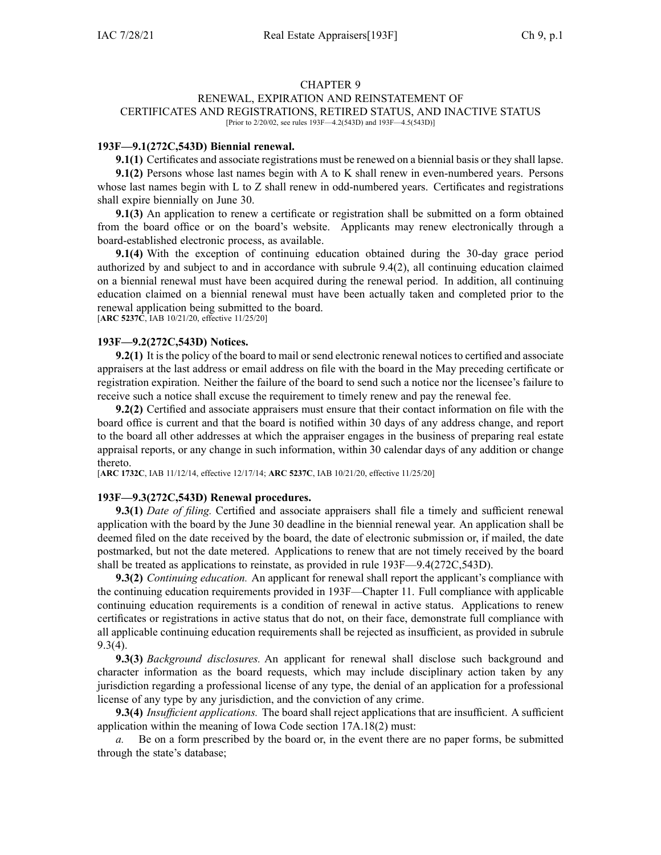### CHAPTER 9 RENEWAL, EXPIRATION AND REINSTATEMENT OF CERTIFICATES AND REGISTRATIONS, RETIRED STATUS, AND INACTIVE STATUS [Prior to 2/20/02, see rules 193F—4.2(543D) and 193F—4.5(543D)]

# **193F—9.1(272C,543D) Biennial renewal.**

**9.1(1)** Certificates and associate registrations must be renewed on <sup>a</sup> biennial basis or they shall lapse.

**9.1(2)** Persons whose last names begin with A to K shall renew in even-numbered years. Persons whose last names begin with L to Z shall renew in odd-numbered years. Certificates and registrations shall expire biennially on June 30.

**9.1(3)** An application to renew <sup>a</sup> certificate or registration shall be submitted on <sup>a</sup> form obtained from the board office or on the board's website. Applicants may renew electronically through <sup>a</sup> board-established electronic process, as available.

**9.1(4)** With the exception of continuing education obtained during the 30-day grace period authorized by and subject to and in accordance with subrule 9.4(2), all continuing education claimed on <sup>a</sup> biennial renewal must have been acquired during the renewal period. In addition, all continuing education claimed on <sup>a</sup> biennial renewal must have been actually taken and completed prior to the renewal application being submitted to the board. [**ARC [5237C](https://www.legis.iowa.gov/docs/aco/arc/5237C.pdf)**, IAB 10/21/20, effective 11/25/20]

# **193F—9.2(272C,543D) Notices.**

**9.2(1)** It is the policy of the board to mail or send electronic renewal notices to certified and associate appraisers at the last address or email address on file with the board in the May preceding certificate or registration expiration. Neither the failure of the board to send such <sup>a</sup> notice nor the licensee's failure to receive such <sup>a</sup> notice shall excuse the requirement to timely renew and pay the renewal fee.

**9.2(2)** Certified and associate appraisers must ensure that their contact information on file with the board office is current and that the board is notified within 30 days of any address change, and repor<sup>t</sup> to the board all other addresses at which the appraiser engages in the business of preparing real estate appraisal reports, or any change in such information, within 30 calendar days of any addition or change thereto.

[**ARC [1732C](https://www.legis.iowa.gov/docs/aco/arc/1732C.pdf)**, IAB 11/12/14, effective 12/17/14; **ARC [5237C](https://www.legis.iowa.gov/docs/aco/arc/5237C.pdf)**, IAB 10/21/20, effective 11/25/20]

### **193F—9.3(272C,543D) Renewal procedures.**

**9.3(1)** *Date of filing.* Certified and associate appraisers shall file <sup>a</sup> timely and sufficient renewal application with the board by the June 30 deadline in the biennial renewal year. An application shall be deemed filed on the date received by the board, the date of electronic submission or, if mailed, the date postmarked, but not the date metered. Applications to renew that are not timely received by the board shall be treated as applications to reinstate, as provided in rule [193F—9.4](https://www.legis.iowa.gov/docs/iac/rule/193F.9.4.pdf)(272C,543D).

**9.3(2)** *Continuing education.* An applicant for renewal shall repor<sup>t</sup> the applicant's compliance with the continuing education requirements provided in [193F—Chapter](https://www.legis.iowa.gov/docs/iac/chapter/193F.11.pdf) 11. Full compliance with applicable continuing education requirements is <sup>a</sup> condition of renewal in active status. Applications to renew certificates or registrations in active status that do not, on their face, demonstrate full compliance with all applicable continuing education requirements shall be rejected as insufficient, as provided in subrule [9.3\(4\)](https://www.legis.iowa.gov/docs/iac/rule/193F.9.3.pdf).

**9.3(3)** *Background disclosures.* An applicant for renewal shall disclose such background and character information as the board requests, which may include disciplinary action taken by any jurisdiction regarding <sup>a</sup> professional license of any type, the denial of an application for <sup>a</sup> professional license of any type by any jurisdiction, and the conviction of any crime.

**9.3(4)** *Insufficient applications.* The board shall reject applications that are insufficient. A sufficient application within the meaning of Iowa Code section [17A.18\(2\)](https://www.legis.iowa.gov/docs/ico/section/17A.18.pdf) must:

*a.* Be on <sup>a</sup> form prescribed by the board or, in the event there are no paper forms, be submitted through the state's database;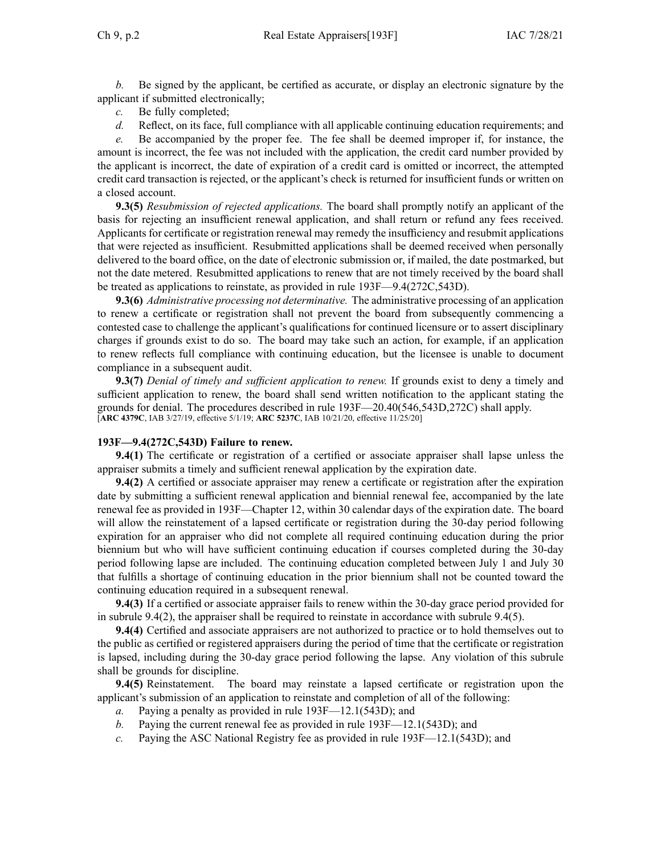*b.* Be signed by the applicant, be certified as accurate, or display an electronic signature by the applicant if submitted electronically;

- *c.* Be fully completed;
- *d.* Reflect, on its face, full compliance with all applicable continuing education requirements; and

*e.* Be accompanied by the proper fee. The fee shall be deemed improper if, for instance, the amount is incorrect, the fee was not included with the application, the credit card number provided by the applicant is incorrect, the date of expiration of <sup>a</sup> credit card is omitted or incorrect, the attempted credit card transaction is rejected, or the applicant's check is returned for insufficient funds or written on <sup>a</sup> closed account.

**9.3(5)** *Resubmission of rejected applications.* The board shall promptly notify an applicant of the basis for rejecting an insufficient renewal application, and shall return or refund any fees received. Applicants for certificate or registration renewal may remedy the insufficiency and resubmit applications that were rejected as insufficient. Resubmitted applications shall be deemed received when personally delivered to the board office, on the date of electronic submission or, if mailed, the date postmarked, but not the date metered. Resubmitted applications to renew that are not timely received by the board shall be treated as applications to reinstate, as provided in rule [193F—9.4](https://www.legis.iowa.gov/docs/iac/rule/193F.9.4.pdf)(272C,543D).

**9.3(6)** *Administrative processing not determinative.* The administrative processing of an application to renew <sup>a</sup> certificate or registration shall not preven<sup>t</sup> the board from subsequently commencing <sup>a</sup> contested case to challenge the applicant's qualifications for continued licensure or to assert disciplinary charges if grounds exist to do so. The board may take such an action, for example, if an application to renew reflects full compliance with continuing education, but the licensee is unable to document compliance in <sup>a</sup> subsequent audit.

**9.3(7)** *Denial of timely and sufficient application to renew.* If grounds exist to deny <sup>a</sup> timely and sufficient application to renew, the board shall send written notification to the applicant stating the grounds for denial. The procedures described in rule 193F—20.40(546,543D,272C) shall apply. [**ARC [4379C](https://www.legis.iowa.gov/docs/aco/arc/4379C.pdf)**, IAB 3/27/19, effective 5/1/19; **ARC [5237C](https://www.legis.iowa.gov/docs/aco/arc/5237C.pdf)**, IAB 10/21/20, effective 11/25/20]

# **193F—9.4(272C,543D) Failure to renew.**

**9.4(1)** The certificate or registration of <sup>a</sup> certified or associate appraiser shall lapse unless the appraiser submits <sup>a</sup> timely and sufficient renewal application by the expiration date.

**9.4(2)** A certified or associate appraiser may renew <sup>a</sup> certificate or registration after the expiration date by submitting <sup>a</sup> sufficient renewal application and biennial renewal fee, accompanied by the late renewal fee as provided in 193F—Chapter 12, within 30 calendar days of the expiration date. The board will allow the reinstatement of <sup>a</sup> lapsed certificate or registration during the 30-day period following expiration for an appraiser who did not complete all required continuing education during the prior biennium but who will have sufficient continuing education if courses completed during the 30-day period following lapse are included. The continuing education completed between July 1 and July 30 that fulfills <sup>a</sup> shortage of continuing education in the prior biennium shall not be counted toward the continuing education required in <sup>a</sup> subsequent renewal.

**9.4(3)** If <sup>a</sup> certified or associate appraiser fails to renew within the 30-day grace period provided for in subrule [9.4\(2\)](https://www.legis.iowa.gov/docs/iac/rule/193F.9.4.pdf), the appraiser shall be required to reinstate in accordance with subrule [9.4\(5\)](https://www.legis.iowa.gov/docs/iac/rule/193F.9.4.pdf).

**9.4(4)** Certified and associate appraisers are not authorized to practice or to hold themselves out to the public as certified or registered appraisers during the period of time that the certificate or registration is lapsed, including during the 30-day grace period following the lapse. Any violation of this subrule shall be grounds for discipline.

**9.4(5)** Reinstatement. The board may reinstate <sup>a</sup> lapsed certificate or registration upon the applicant's submission of an application to reinstate and completion of all of the following:

- *a.* Paying <sup>a</sup> penalty as provided in rule [193F—12.1](https://www.legis.iowa.gov/docs/iac/rule/193F.12.1.pdf)(543D); and
- *b.* Paying the current renewal fee as provided in rule [193F—12.1](https://www.legis.iowa.gov/docs/iac/rule/193F.12.1.pdf)(543D); and
- *c.* Paying the ASC National Registry fee as provided in rule 193F—12.1(543D); and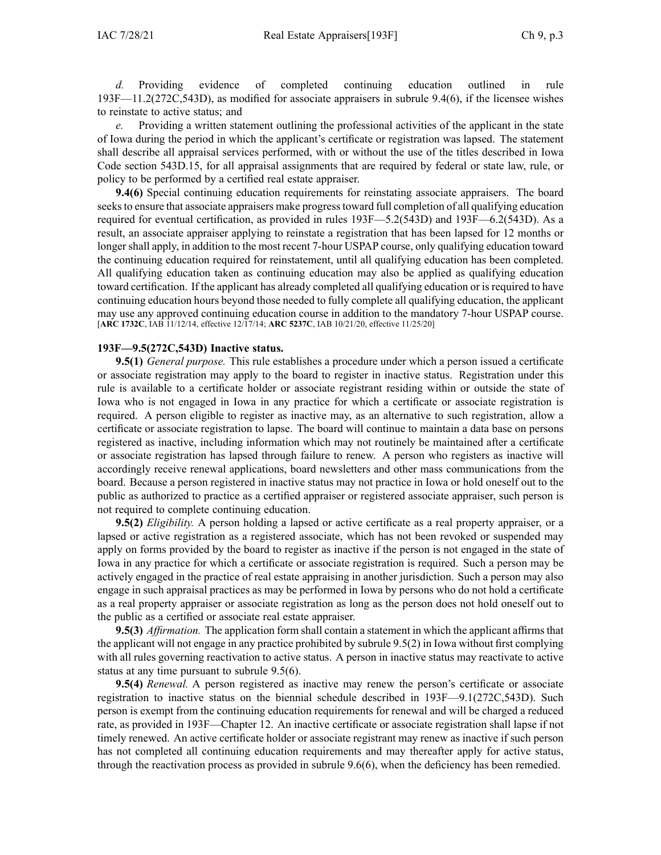*d.* Providing evidence of completed continuing education outlined in rule [193F—11.2](https://www.legis.iowa.gov/docs/iac/rule/193F.11.2.pdf)(272C,543D), as modified for associate appraisers in subrule [9.4\(6\)](https://www.legis.iowa.gov/docs/iac/rule/193F.9.4.pdf), if the licensee wishes to reinstate to active status; and

*e.* Providing <sup>a</sup> written statement outlining the professional activities of the applicant in the state of Iowa during the period in which the applicant's certificate or registration was lapsed. The statement shall describe all appraisal services performed, with or without the use of the titles described in Iowa Code section [543D.15](https://www.legis.iowa.gov/docs/ico/section/543D.15.pdf), for all appraisal assignments that are required by federal or state law, rule, or policy to be performed by <sup>a</sup> certified real estate appraiser.

**9.4(6)** Special continuing education requirements for reinstating associate appraisers. The board seeks to ensure that associate appraisers make progress toward full completion of all qualifying education required for eventual certification, as provided in rules [193F—5.2](https://www.legis.iowa.gov/docs/iac/rule/193D.5.2.pdf)(543D) and [193F—6.2](https://www.legis.iowa.gov/docs/iac/rule/193F.6.2.pdf)(543D). As <sup>a</sup> result, an associate appraiser applying to reinstate <sup>a</sup> registration that has been lapsed for 12 months or longer shall apply, in addition to the most recent 7-hour USPAP course, only qualifying education toward the continuing education required for reinstatement, until all qualifying education has been completed. All qualifying education taken as continuing education may also be applied as qualifying education toward certification. If the applicant has already completed all qualifying education or is required to have continuing education hours beyond those needed to fully complete all qualifying education, the applicant may use any approved continuing education course in addition to the mandatory 7-hour USPAP course. [**ARC [1732C](https://www.legis.iowa.gov/docs/aco/arc/1732C.pdf)**, IAB 11/12/14, effective 12/17/14; **ARC [5237C](https://www.legis.iowa.gov/docs/aco/arc/5237C.pdf)**, IAB 10/21/20, effective 11/25/20]

### **193F—9.5(272C,543D) Inactive status.**

**9.5(1)** *General purpose.* This rule establishes <sup>a</sup> procedure under which <sup>a</sup> person issued <sup>a</sup> certificate or associate registration may apply to the board to register in inactive status. Registration under this rule is available to <sup>a</sup> certificate holder or associate registrant residing within or outside the state of Iowa who is not engaged in Iowa in any practice for which <sup>a</sup> certificate or associate registration is required. A person eligible to register as inactive may, as an alternative to such registration, allow <sup>a</sup> certificate or associate registration to lapse. The board will continue to maintain <sup>a</sup> data base on persons registered as inactive, including information which may not routinely be maintained after <sup>a</sup> certificate or associate registration has lapsed through failure to renew. A person who registers as inactive will accordingly receive renewal applications, board newsletters and other mass communications from the board. Because <sup>a</sup> person registered in inactive status may not practice in Iowa or hold oneself out to the public as authorized to practice as <sup>a</sup> certified appraiser or registered associate appraiser, such person is not required to complete continuing education.

**9.5(2)** *Eligibility.* A person holding <sup>a</sup> lapsed or active certificate as <sup>a</sup> real property appraiser, or <sup>a</sup> lapsed or active registration as <sup>a</sup> registered associate, which has not been revoked or suspended may apply on forms provided by the board to register as inactive if the person is not engaged in the state of Iowa in any practice for which <sup>a</sup> certificate or associate registration is required. Such <sup>a</sup> person may be actively engaged in the practice of real estate appraising in another jurisdiction. Such <sup>a</sup> person may also engage in such appraisal practices as may be performed in Iowa by persons who do not hold <sup>a</sup> certificate as <sup>a</sup> real property appraiser or associate registration as long as the person does not hold oneself out to the public as <sup>a</sup> certified or associate real estate appraiser.

**9.5(3)** *Affirmation.* The application form shall contain a statement in which the applicant affirms that the applicant will not engage in any practice prohibited by subrule [9.5\(2\)](https://www.legis.iowa.gov/docs/iac/rule/193F.9.5.pdf) in Iowa without first complying with all rules governing reactivation to active status. A person in inactive status may reactivate to active status at any time pursuan<sup>t</sup> to subrule [9.5\(6\)](https://www.legis.iowa.gov/docs/iac/rule/193F.9.5.pdf).

**9.5(4)** *Renewal.* A person registered as inactive may renew the person's certificate or associate registration to inactive status on the biennial schedule described in [193F—9.1\(272C,543D\)](https://www.legis.iowa.gov/docs/iac/rule/193F.9.1.pdf). Such person is exemp<sup>t</sup> from the continuing education requirements for renewal and will be charged <sup>a</sup> reduced rate, as provided in [193F—Chapter](https://www.legis.iowa.gov/docs/iac/chapter/193F.12.pdf) 12. An inactive certificate or associate registration shall lapse if not timely renewed. An active certificate holder or associate registrant may renew as inactive if such person has not completed all continuing education requirements and may thereafter apply for active status, through the reactivation process as provided in subrule [9.6\(6\)](https://www.legis.iowa.gov/docs/iac/rule/193F.9.6.pdf), when the deficiency has been remedied.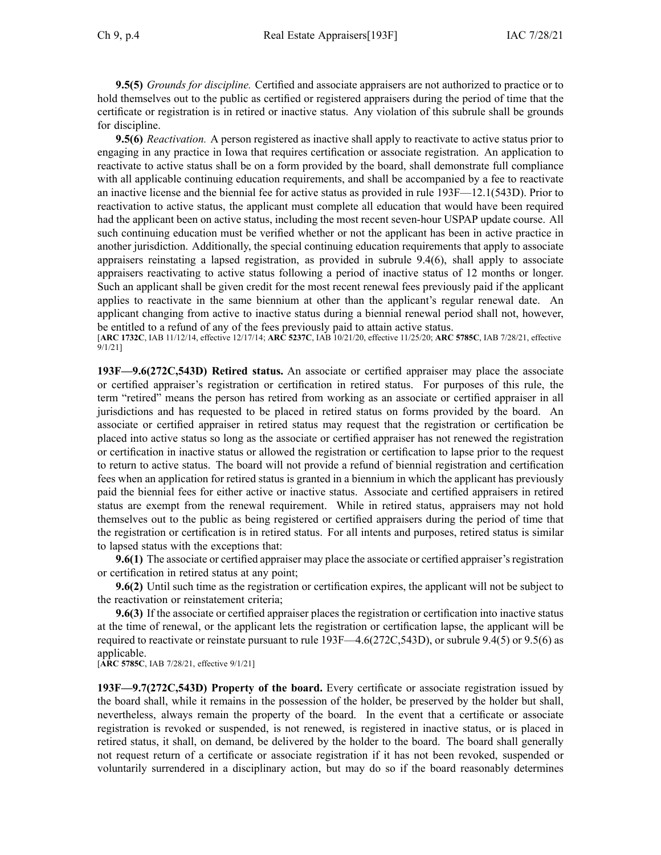**9.5(5)** *Grounds for discipline.* Certified and associate appraisers are not authorized to practice or to hold themselves out to the public as certified or registered appraisers during the period of time that the certificate or registration is in retired or inactive status. Any violation of this subrule shall be grounds for discipline.

**9.5(6)** *Reactivation.* A person registered as inactive shall apply to reactivate to active status prior to engaging in any practice in Iowa that requires certification or associate registration. An application to reactivate to active status shall be on <sup>a</sup> form provided by the board, shall demonstrate full compliance with all applicable continuing education requirements, and shall be accompanied by <sup>a</sup> fee to reactivate an inactive license and the biennial fee for active status as provided in rule [193F—12.1](https://www.legis.iowa.gov/docs/iac/rule/193F.12.1.pdf)(543D). Prior to reactivation to active status, the applicant must complete all education that would have been required had the applicant been on active status, including the most recent seven-hour USPAP update course. All such continuing education must be verified whether or not the applicant has been in active practice in another jurisdiction. Additionally, the special continuing education requirements that apply to associate appraisers reinstating <sup>a</sup> lapsed registration, as provided in subrule [9.4\(6\)](https://www.legis.iowa.gov/docs/iac/rule/193F.9.4.pdf), shall apply to associate appraisers reactivating to active status following <sup>a</sup> period of inactive status of 12 months or longer. Such an applicant shall be given credit for the most recent renewal fees previously paid if the applicant applies to reactivate in the same biennium at other than the applicant's regular renewal date. An applicant changing from active to inactive status during <sup>a</sup> biennial renewal period shall not, however, be entitled to <sup>a</sup> refund of any of the fees previously paid to attain active status.

[**ARC [1732C](https://www.legis.iowa.gov/docs/aco/arc/1732C.pdf)**, IAB 11/12/14, effective 12/17/14; **ARC [5237C](https://www.legis.iowa.gov/docs/aco/arc/5237C.pdf)**, IAB 10/21/20, effective 11/25/20; **ARC [5785C](https://www.legis.iowa.gov/docs/aco/arc/5785C.pdf)**, IAB 7/28/21, effective 9/1/21]

**193F—9.6(272C,543D) Retired status.** An associate or certified appraiser may place the associate or certified appraiser's registration or certification in retired status. For purposes of this rule, the term "retired" means the person has retired from working as an associate or certified appraiser in all jurisdictions and has requested to be placed in retired status on forms provided by the board. An associate or certified appraiser in retired status may reques<sup>t</sup> that the registration or certification be placed into active status so long as the associate or certified appraiser has not renewed the registration or certification in inactive status or allowed the registration or certification to lapse prior to the reques<sup>t</sup> to return to active status. The board will not provide <sup>a</sup> refund of biennial registration and certification fees when an application for retired status is granted in <sup>a</sup> biennium in which the applicant has previously paid the biennial fees for either active or inactive status. Associate and certified appraisers in retired status are exemp<sup>t</sup> from the renewal requirement. While in retired status, appraisers may not hold themselves out to the public as being registered or certified appraisers during the period of time that the registration or certification is in retired status. For all intents and purposes, retired status is similar to lapsed status with the exceptions that:

**9.6(1)** The associate or certified appraiser may place the associate or certified appraiser's registration or certification in retired status at any point;

**9.6(2)** Until such time as the registration or certification expires, the applicant will not be subject to the reactivation or reinstatement criteria;

**9.6(3)** If the associate or certified appraiser places the registration or certification into inactive status at the time of renewal, or the applicant lets the registration or certification lapse, the applicant will be required to reactivate or reinstate pursuan<sup>t</sup> to rule [193F—4.6](https://www.legis.iowa.gov/docs/iac/rule/193F.4.6.pdf)(272C,543D), or [subrule](https://www.legis.iowa.gov/docs/iac/rule/193F.9.4.pdf) 9.4(5) or [9.5\(6\)](https://www.legis.iowa.gov/docs/iac/rule/193F.9.5.pdf) as applicable.

[**ARC [5785C](https://www.legis.iowa.gov/docs/aco/arc/5785C.pdf)**, IAB 7/28/21, effective 9/1/21]

**193F—9.7(272C,543D) Property of the board.** Every certificate or associate registration issued by the board shall, while it remains in the possession of the holder, be preserved by the holder but shall, nevertheless, always remain the property of the board. In the event that <sup>a</sup> certificate or associate registration is revoked or suspended, is not renewed, is registered in inactive status, or is placed in retired status, it shall, on demand, be delivered by the holder to the board. The board shall generally not reques<sup>t</sup> return of <sup>a</sup> certificate or associate registration if it has not been revoked, suspended or voluntarily surrendered in <sup>a</sup> disciplinary action, but may do so if the board reasonably determines